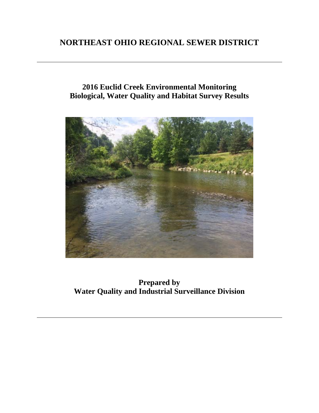# **NORTHEAST OHIO REGIONAL SEWER DISTRICT**

# **2016 Euclid Creek Environmental Monitoring Biological, Water Quality and Habitat Survey Results**



**Prepared by Water Quality and Industrial Surveillance Division**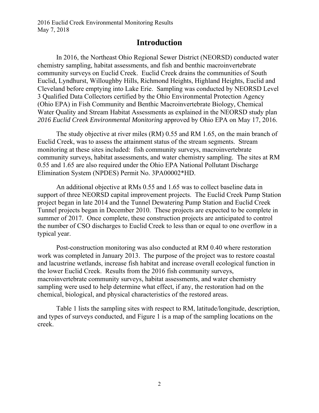## **Introduction**

In 2016, the Northeast Ohio Regional Sewer District (NEORSD) conducted water chemistry sampling, habitat assessments, and fish and benthic macroinvertebrate community surveys on Euclid Creek. Euclid Creek drains the communities of South Euclid, Lyndhurst, Willoughby Hills, Richmond Heights, Highland Heights, Euclid and Cleveland before emptying into Lake Erie. Sampling was conducted by NEORSD Level 3 Qualified Data Collectors certified by the Ohio Environmental Protection Agency (Ohio EPA) in Fish Community and Benthic Macroinvertebrate Biology, Chemical Water Quality and Stream Habitat Assessments as explained in the NEORSD study plan *2016 Euclid Creek Environmental Monitoring* approved by Ohio EPA on May 17, 2016.

The study objective at river miles (RM) 0.55 and RM 1.65, on the main branch of Euclid Creek, was to assess the attainment status of the stream segments. Stream monitoring at these sites included: fish community surveys, macroinvertebrate community surveys, habitat assessments, and water chemistry sampling. The sites at RM 0.55 and 1.65 are also required under the Ohio EPA National Pollutant Discharge Elimination System (NPDES) Permit No. 3PA00002\*HD.

An additional objective at RMs 0.55 and 1.65 was to collect baseline data in support of three NEORSD capital improvement projects. The Euclid Creek Pump Station project began in late 2014 and the Tunnel Dewatering Pump Station and Euclid Creek Tunnel projects began in December 2010. These projects are expected to be complete in summer of 2017. Once complete, these construction projects are anticipated to control the number of CSO discharges to Euclid Creek to less than or equal to one overflow in a typical year.

Post-construction monitoring was also conducted at RM 0.40 where restoration work was completed in January 2013. The purpose of the project was to restore coastal and lacustrine wetlands, increase fish habitat and increase overall ecological function in the lower Euclid Creek. Results from the 2016 fish community surveys, macroinvertebrate community surveys, habitat assessments, and water chemistry sampling were used to help determine what effect, if any, the restoration had on the chemical, biological, and physical characteristics of the restored areas.

Table 1 lists the sampling sites with respect to RM, latitude/longitude, description, and types of surveys conducted, and Figure 1 is a map of the sampling locations on the creek.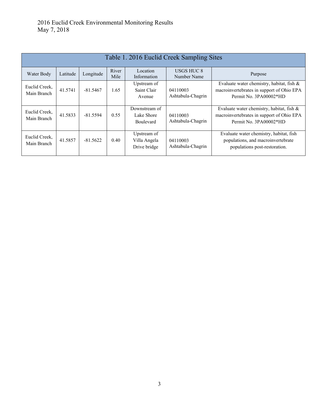| Table 1. 2016 Euclid Creek Sampling Sites |          |            |               |                                             |                                  |                                                                                                                     |
|-------------------------------------------|----------|------------|---------------|---------------------------------------------|----------------------------------|---------------------------------------------------------------------------------------------------------------------|
| Water Body                                | Latitude | Longitude  | River<br>Mile | Location<br>Information                     | <b>USGS HUC 8</b><br>Number Name | Purpose                                                                                                             |
| Euclid Creek,<br>Main Branch              | 41.5741  | $-81.5467$ | 1.65          | Upstream of<br>Saint Clair<br>Avenue        | 04110003<br>Ashtabula-Chagrin    | Evaluate water chemistry, habitat, fish $\&$<br>macroinvertebrates in support of Ohio EPA<br>Permit No. 3PA00002*HD |
| Euclid Creek,<br>Main Branch              | 41.5833  | $-81.5594$ | 0.55          | Downstream of<br>Lake Shore<br>Boulevard    | 04110003<br>Ashtabula-Chagrin    | Evaluate water chemistry, habitat, fish $\&$<br>macroinvertebrates in support of Ohio EPA<br>Permit No. 3PA00002*HD |
| Euclid Creek.<br>Main Branch              | 41.5857  | $-81.5622$ | 0.40          | Upstream of<br>Villa Angela<br>Drive bridge | 04110003<br>Ashtabula-Chagrin    | Evaluate water chemistry, habitat, fish<br>populations, and macroinvertebrate<br>populations post-restoration.      |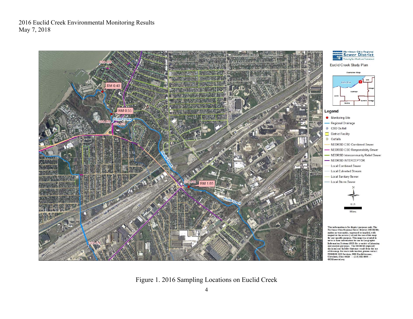

Figure 1. 2016 Sampling Locations on Euclid Creek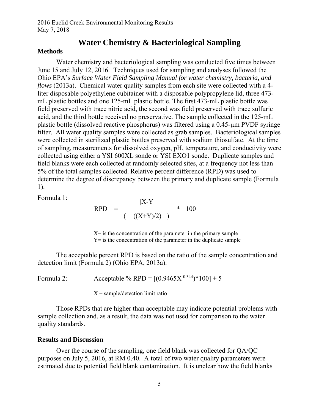### **Water Chemistry & Bacteriological Sampling**

#### **Methods**

Water chemistry and bacteriological sampling was conducted five times between June 15 and July 12, 2016. Techniques used for sampling and analyses followed the Ohio EPA's *Surface Water Field Sampling Manual for water chemistry, bacteria, and flows* (2013a). Chemical water quality samples from each site were collected with a 4 liter disposable polyethylene cubitainer with a disposable polypropylene lid, three 473 mL plastic bottles and one 125-mL plastic bottle. The first 473-mL plastic bottle was field preserved with trace nitric acid, the second was field preserved with trace sulfuric acid, and the third bottle received no preservative. The sample collected in the 125-mL plastic bottle (dissolved reactive phosphorus) was filtered using a 0.45-µm PVDF syringe filter.All water quality samples were collected as grab samples.Bacteriological samples were collected in sterilized plastic bottles preserved with sodium thiosulfate. At the time of sampling, measurements for dissolved oxygen, pH, temperature, and conductivity were collected using either a YSI 600XL sonde or YSI EXO1 sonde. Duplicate samples and field blanks were each collected at randomly selected sites, at a frequency not less than 5% of the total samples collected. Relative percent difference (RPD) was used to determine the degree of discrepancy between the primary and duplicate sample (Formula 1).

Formula 1:

RPD = 
$$
\frac{|X^{-1}|}{((X+Y)/2)}
$$
 \* 100

 $|V|$   $V|$ 

 $X =$  is the concentration of the parameter in the primary sample Y= is the concentration of the parameter in the duplicate sample

The acceptable percent RPD is based on the ratio of the sample concentration and detection limit (Formula 2) (Ohio EPA, 2013a).

Formula 2: Acceptable % RPD =  $[(0.9465X^{0.344})*100]+5$ 

 $X = sample/detection$  limit ratio

Those RPDs that are higher than acceptable may indicate potential problems with sample collection and, as a result, the data was not used for comparison to the water quality standards.

#### **Results and Discussion**

Over the course of the sampling, one field blank was collected for QA/QC purposes on July 5, 2016, at RM 0.40. A total of two water quality parameters were estimated due to potential field blank contamination. It is unclear how the field blanks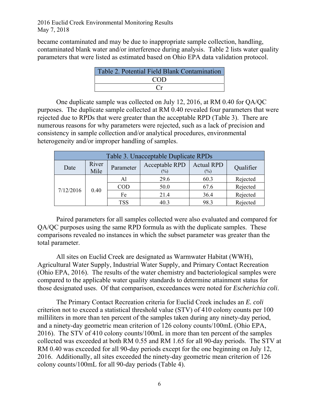became contaminated and may be due to inappropriate sample collection, handling, contaminated blank water and/or interference during analysis. Table 2 lists water quality parameters that were listed as estimated based on Ohio EPA data validation protocol.

| Table 2. Potential Field Blank Contamination |
|----------------------------------------------|
| COD                                          |
|                                              |

One duplicate sample was collected on July 12, 2016, at RM 0.40 for QA/QC purposes. The duplicate sample collected at RM 0.40 revealed four parameters that were rejected due to RPDs that were greater than the acceptable RPD (Table 3). There are numerous reasons for why parameters were rejected, such as a lack of precision and consistency in sample collection and/or analytical procedures, environmental heterogeneity and/or improper handling of samples.

| Table 3. Unacceptable Duplicate RPDs |               |            |                          |                          |           |  |
|--------------------------------------|---------------|------------|--------------------------|--------------------------|-----------|--|
| Date                                 | River<br>Mile | Parameter  | Acceptable RPD<br>$(\%)$ | <b>Actual RPD</b><br>(%) | Qualifier |  |
| 7/12/2016                            | 0.40          | Al         | 29.6                     | 60.3                     | Rejected  |  |
|                                      |               | <b>COD</b> | 50.0                     | 67.6                     | Rejected  |  |
|                                      |               | Fe         | 21.4                     | 36.4                     | Rejected  |  |
|                                      |               | <b>TSS</b> | 40.3                     | 98.3                     | Rejected  |  |

Paired parameters for all samples collected were also evaluated and compared for QA/QC purposes using the same RPD formula as with the duplicate samples. These comparisons revealed no instances in which the subset parameter was greater than the total parameter.

All sites on Euclid Creek are designated as Warmwater Habitat (WWH), Agricultural Water Supply, Industrial Water Supply, and Primary Contact Recreation (Ohio EPA, 2016). The results of the water chemistry and bacteriological samples were compared to the applicable water quality standards to determine attainment status for those designated uses. Of that comparison, exceedances were noted for *Escherichia coli*.

The Primary Contact Recreation criteria for Euclid Creek includes an *E. coli* criterion not to exceed a statistical threshold value (STV) of 410 colony counts per 100 milliliters in more than ten percent of the samples taken during any ninety-day period, and a ninety-day geometric mean criterion of 126 colony counts/100mL (Ohio EPA, 2016). The STV of 410 colony counts/100mL in more than ten percent of the samples collected was exceeded at both RM 0.55 and RM 1.65 for all 90-day periods. The STV at RM 0.40 was exceeded for all 90-day periods except for the one beginning on July 12, 2016. Additionally, all sites exceeded the ninety-day geometric mean criterion of 126 colony counts/100mL for all 90-day periods (Table 4).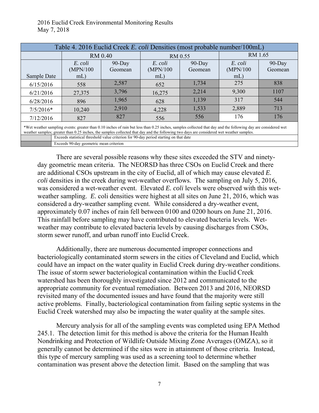|                                                                                                                                                                                                                                                                                                           | Table 4. 2016 Euclid Creek E. coli Densities (most probable number/100mL)             |                |                    |           |                    |           |  |
|-----------------------------------------------------------------------------------------------------------------------------------------------------------------------------------------------------------------------------------------------------------------------------------------------------------|---------------------------------------------------------------------------------------|----------------|--------------------|-----------|--------------------|-----------|--|
|                                                                                                                                                                                                                                                                                                           |                                                                                       | <b>RM 0.40</b> |                    | RM 0.55   |                    | RM 1.65   |  |
|                                                                                                                                                                                                                                                                                                           | E. coli                                                                               | $90$ -Day      | E. coli            | $90$ -Day | E. coli            | $90$ -Day |  |
| Sample Date                                                                                                                                                                                                                                                                                               | (MPN/100<br>$mL$ )                                                                    | Geomean        | (MPN/100<br>$mL$ ) | Geomean   | (MPN/100<br>$mL$ ) | Geomean   |  |
| 6/15/2016                                                                                                                                                                                                                                                                                                 | 558                                                                                   | 2,587          | 652                | 1,734     | 275                | 838       |  |
| 6/21/2016                                                                                                                                                                                                                                                                                                 | 27,375                                                                                | 3,796          | 16,275             | 2,214     | 9,300              | 1107      |  |
| 6/28/2016                                                                                                                                                                                                                                                                                                 | 896                                                                                   | 1,965          | 628                | 1,139     | 317                | 544       |  |
| $7/5/2016*$                                                                                                                                                                                                                                                                                               | 10,240                                                                                | 2,910          | 4,228              | 1,533     | 2,889              | 713       |  |
| 7/12/2016                                                                                                                                                                                                                                                                                                 | 827                                                                                   | 827            | 556                | 556       | 176                | 176       |  |
| *Wet weather sampling events: greater than 0.10 inches of rain but less than 0.25 inches, samples collected that day and the following day are considered wet<br>weather samples; greater than 0.25 inches, the samples collected that day and the following two days are considered wet weather samples. |                                                                                       |                |                    |           |                    |           |  |
|                                                                                                                                                                                                                                                                                                           | Exceeds statistical threshold value criterion for 90-day period starting on that date |                |                    |           |                    |           |  |
|                                                                                                                                                                                                                                                                                                           | Exceeds 90-day geometric mean criterion                                               |                |                    |           |                    |           |  |

There are several possible reasons why these sites exceeded the STV and ninetyday geometric mean criteria. The NEORSD has three CSOs on Euclid Creek and there are additional CSOs upstream in the city of Euclid, all of which may cause elevated *E. coli* densities in the creek during wet-weather overflows. The sampling on July 5, 2016, was considered a wet-weather event. Elevated *E. coli* levels were observed with this wetweather sampling. *E.* coli densities were highest at all sites on June 21, 2016, which was considered a dry-weather sampling event. While considered a dry-weather event, approximately 0.07 inches of rain fell between 0100 and 0200 hours on June 21, 2016. This rainfall before sampling may have contributed to elevated bacteria levels. Wetweather may contribute to elevated bacteria levels by causing discharges from CSOs, storm sewer runoff, and urban runoff into Euclid Creek.

Additionally, there are numerous documented improper connections and bacteriologically contaminated storm sewers in the cities of Cleveland and Euclid, which could have an impact on the water quality in Euclid Creek during dry-weather conditions. The issue of storm sewer bacteriological contamination within the Euclid Creek watershed has been thoroughly investigated since 2012 and communicated to the appropriate community for eventual remediation. Between 2013 and 2016, NEORSD revisited many of the documented issues and have found that the majority were still active problems. Finally, bacteriological contamination from failing septic systems in the Euclid Creek watershed may also be impacting the water quality at the sample sites.

Mercury analysis for all of the sampling events was completed using EPA Method 245.1. The detection limit for this method is above the criteria for the Human Health Nondrinking and Protection of Wildlife Outside Mixing Zone Averages (OMZA), so it generally cannot be determined if the sites were in attainment of those criteria. Instead, this type of mercury sampling was used as a screening tool to determine whether contamination was present above the detection limit. Based on the sampling that was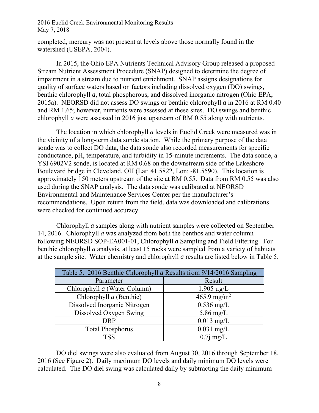completed, mercury was not present at levels above those normally found in the watershed (USEPA, 2004).

 In 2015, the Ohio EPA Nutrients Technical Advisory Group released a proposed Stream Nutrient Assessment Procedure (SNAP) designed to determine the degree of impairment in a stream due to nutrient enrichment. SNAP assigns designations for quality of surface waters based on factors including dissolved oxygen (DO) swings, benthic chlorophyll *a*, total phosphorous, and dissolved inorganic nitrogen (Ohio EPA, 2015a). NEORSD did not assess DO swings or benthic chlorophyll *a* in 2016 at RM 0.40 and RM 1.65; however, nutrients were assessed at these sites. DO swings and benthic chlorophyll *a* were assessed in 2016 just upstream of RM 0.55 along with nutrients.

The location in which chlorophyll *a* levels in Euclid Creek were measured was in the vicinity of a long-term data sonde station. While the primary purpose of the data sonde was to collect DO data, the data sonde also recorded measurements for specific conductance, pH, temperature, and turbidity in 15-minute increments. The data sonde, a YSI 6902V2 sonde, is located at RM 0.68 on the downstream side of the Lakeshore Boulevard bridge in Cleveland, OH (Lat: 41.5822, Lon: -81.5590). This location is approximately 150 meters upstream of the site at RM 0.55. Data from RM 0.55 was also used during the SNAP analysis. The data sonde was calibrated at NEORSD Environmental and Maintenance Services Center per the manufacturer's recommendations. Upon return from the field, data was downloaded and calibrations were checked for continued accuracy.

 Chlorophyll *a* samples along with nutrient samples were collected on September 14, 2016. Chlorophyll *a* was analyzed from both the benthos and water column following NEORSD SOP-EA001-01, Chlorophyll *a* Sampling and Field Filtering. For benthic chlorophyll *a* analysis, at least 15 rocks were sampled from a variety of habitats at the sample site. Water chemistry and chlorophyll *a* results are listed below in Table 5.

| Table 5. 2016 Benthic Chlorophyll a Results from 9/14/2016 Sampling |                         |  |  |
|---------------------------------------------------------------------|-------------------------|--|--|
| Parameter                                                           | Result                  |  |  |
| Chlorophyll a (Water Column)                                        | $1.905 \mu g/L$         |  |  |
| Chlorophyll $a$ (Benthic)                                           | 465.9 mg/m <sup>2</sup> |  |  |
| Dissolved Inorganic Nitrogen                                        | $0.536$ mg/L            |  |  |
| Dissolved Oxygen Swing                                              | 5.86 mg/L               |  |  |
| <b>DRP</b>                                                          | $0.013$ mg/L            |  |  |
| <b>Total Phosphorus</b>                                             | $0.031$ mg/L            |  |  |
| TSS                                                                 | $0.7$ j mg/L            |  |  |

 DO diel swings were also evaluated from August 30, 2016 through September 18, 2016 (See Figure 2). Daily maximum DO levels and daily minimum DO levels were calculated. The DO diel swing was calculated daily by subtracting the daily minimum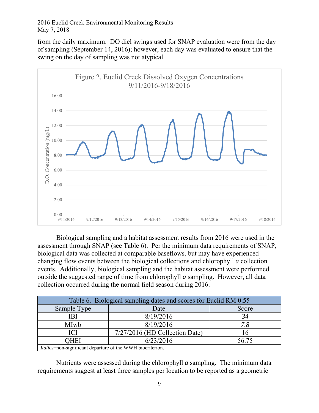from the daily maximum. DO diel swings used for SNAP evaluation were from the day of sampling (September 14, 2016); however, each day was evaluated to ensure that the swing on the day of sampling was not atypical.



 Biological sampling and a habitat assessment results from 2016 were used in the assessment through SNAP (see Table 6). Per the minimum data requirements of SNAP, biological data was collected at comparable baseflows, but may have experienced changing flow events between the biological collections and chlorophyll *a* collection events. Additionally, biological sampling and the habitat assessment were performed outside the suggested range of time from chlorophyll *a* sampling. However, all data collection occurred during the normal field season during 2016.

| Table 6. Biological sampling dates and scores for Euclid RM 0.55 |                                |       |  |  |
|------------------------------------------------------------------|--------------------------------|-------|--|--|
| Sample Type                                                      | Date                           | Score |  |  |
| IBI                                                              | 8/19/2016                      | 34    |  |  |
| MIwb                                                             | 8/19/2016                      | 7.8   |  |  |
| ICI                                                              | 7/27/2016 (HD Collection Date) |       |  |  |
| 6/23/2016<br>OHEI<br>56.75                                       |                                |       |  |  |
| Italics=non-significant departure of the WWH biocriterion.       |                                |       |  |  |

 Nutrients were assessed during the chlorophyll *a* sampling. The minimum data requirements suggest at least three samples per location to be reported as a geometric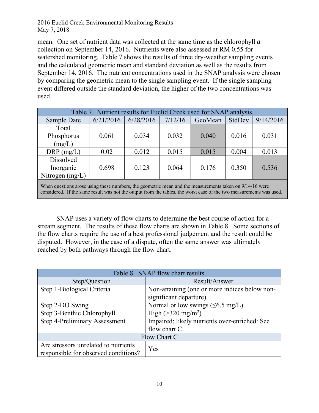mean. One set of nutrient data was collected at the same time as the chlorophyll *a* collection on September 14, 2016. Nutrients were also assessed at RM 0.55 for watershed monitoring. Table 7 shows the results of three dry-weather sampling events and the calculated geometric mean and standard deviation as well as the results from September 14, 2016. The nutrient concentrations used in the SNAP analysis were chosen by comparing the geometric mean to the single sampling event. If the single sampling event differed outside the standard deviation, the higher of the two concentrations was used.

| Table 7. Nutrient results for Euclid Creek used for SNAP analysis.                                                                                                                                                             |           |           |         |         |        |           |
|--------------------------------------------------------------------------------------------------------------------------------------------------------------------------------------------------------------------------------|-----------|-----------|---------|---------|--------|-----------|
| Sample Date                                                                                                                                                                                                                    | 6/21/2016 | 6/28/2016 | 7/12/16 | GeoMean | StdDev | 9/14/2016 |
| Total                                                                                                                                                                                                                          |           |           |         |         |        |           |
| Phosphorus<br>(mg/L)                                                                                                                                                                                                           | 0.061     | 0.034     | 0.032   | 0.040   | 0.016  | 0.031     |
| $DRP$ (mg/L)                                                                                                                                                                                                                   | 0.02      | 0.012     | 0.015   | 0.015   | 0.004  | 0.013     |
| Dissolved                                                                                                                                                                                                                      |           |           |         |         |        |           |
| Inorganic                                                                                                                                                                                                                      | 0.698     | 0.123     | 0.064   | 0.176   | 0.350  | 0.536     |
| Nitrogen $(mg/L)$                                                                                                                                                                                                              |           |           |         |         |        |           |
| When questions arose using these numbers, the geometric mean and the measurements taken on 9/14/16 were<br>considered. If the same result was not the output from the tables, the worst case of the two measurements was used. |           |           |         |         |        |           |

 SNAP uses a variety of flow charts to determine the best course of action for a stream segment. The results of these flow charts are shown in Table 8. Some sections of

the flow charts require the use of a best professional judgement and the result could be disputed. However, in the case of a dispute, often the same answer was ultimately reached by both pathways through the flow chart.

| Table 8. SNAP flow chart results.                                            |                                                                         |  |  |  |
|------------------------------------------------------------------------------|-------------------------------------------------------------------------|--|--|--|
| Step/Question                                                                | Result/Answer                                                           |  |  |  |
| Step 1-Biological Criteria                                                   | Non-attaining (one or more indices below non-<br>significant departure) |  |  |  |
| Step 2-DO Swing                                                              | Normal or low swings $(\leq 6.5 \text{ mg/L})$                          |  |  |  |
| Step 3-Benthic Chlorophyll                                                   | High ( $>320$ mg/m <sup>2</sup> )                                       |  |  |  |
| Step 4-Preliminary Assessment                                                | Impaired; likely nutrients over-enriched: See                           |  |  |  |
|                                                                              | flow chart C                                                            |  |  |  |
| Flow Chart C                                                                 |                                                                         |  |  |  |
| Are stressors unrelated to nutrients<br>responsible for observed conditions? | Yes                                                                     |  |  |  |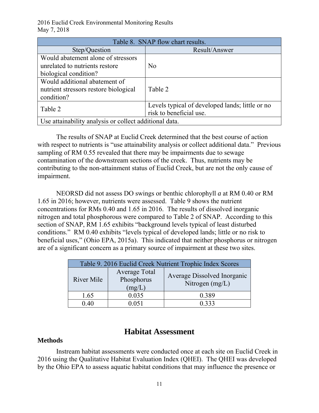| Table 8. SNAP flow chart results.                      |                                                 |  |  |  |
|--------------------------------------------------------|-------------------------------------------------|--|--|--|
| Step/Question                                          | Result/Answer                                   |  |  |  |
| Would abatement alone of stressors                     |                                                 |  |  |  |
| unrelated to nutrients restore                         | No                                              |  |  |  |
| biological condition?                                  |                                                 |  |  |  |
| Would additional abatement of                          |                                                 |  |  |  |
| nutrient stressors restore biological                  | Table 2                                         |  |  |  |
| condition?                                             |                                                 |  |  |  |
| Table 2                                                | Levels typical of developed lands; little or no |  |  |  |
|                                                        | risk to beneficial use.                         |  |  |  |
| Use attainability analysis or collect additional data. |                                                 |  |  |  |

The results of SNAP at Euclid Creek determined that the best course of action with respect to nutrients is "use attainability analysis or collect additional data." Previous sampling of RM 0.55 revealed that there may be impairments due to sewage contamination of the downstream sections of the creek. Thus, nutrients may be contributing to the non-attainment status of Euclid Creek, but are not the only cause of impairment.

NEORSD did not assess DO swings or benthic chlorophyll *a* at RM 0.40 or RM 1.65 in 2016; however, nutrients were assessed. Table 9 shows the nutrient concentrations for RMs 0.40 and 1.65 in 2016. The results of dissolved inorganic nitrogen and total phosphorous were compared to Table 2 of SNAP. According to this section of SNAP, RM 1.65 exhibits "background levels typical of least disturbed conditions." RM 0.40 exhibits "levels typical of developed lands; little or no risk to beneficial uses," (Ohio EPA, 2015a). This indicated that neither phosphorus or nitrogen are of a significant concern as a primary source of impairment at these two sites.

| Table 9. 2016 Euclid Creek Nutrient Trophic Index Scores |                                       |                                                  |  |  |
|----------------------------------------------------------|---------------------------------------|--------------------------------------------------|--|--|
| River Mile                                               | Average Total<br>Phosphorus<br>(mg/L) | Average Dissolved Inorganic<br>Nitrogen $(mg/L)$ |  |  |
| 1.65                                                     | 0.035                                 | 0.389                                            |  |  |
| 0 40                                                     | በ በ51                                 | 0 3 3 3                                          |  |  |

## **Habitat Assessment**

### **Methods**

Instream habitat assessments were conducted once at each site on Euclid Creek in 2016 using the Qualitative Habitat Evaluation Index (QHEI). The QHEI was developed by the Ohio EPA to assess aquatic habitat conditions that may influence the presence or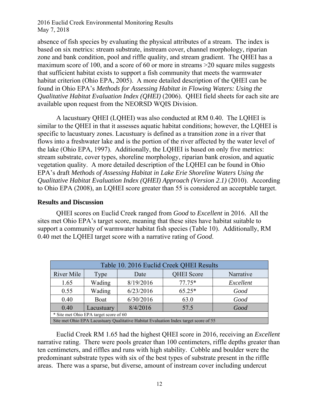absence of fish species by evaluating the physical attributes of a stream. The index is based on six metrics: stream substrate, instream cover, channel morphology, riparian zone and bank condition, pool and riffle quality, and stream gradient. The QHEI has a maximum score of 100, and a score of 60 or more in streams >20 square miles suggests that sufficient habitat exists to support a fish community that meets the warmwater habitat criterion (Ohio EPA, 2005). A more detailed description of the QHEI can be found in Ohio EPA's *Methods for Assessing Habitat in Flowing Waters: Using the Qualitative Habitat Evaluation Index (QHEI)* (2006). QHEI field sheets for each site are available upon request from the NEORSD WQIS Division.

A lacustuary QHEI (LQHEI) was also conducted at RM 0.40. The LQHEI is similar to the QHEI in that it assesses aquatic habitat conditions; however, the LQHEI is specific to lacustuary zones. Lacustuary is defined as a transition zone in a river that flows into a freshwater lake and is the portion of the river affected by the water level of the lake (Ohio EPA, 1997). Additionally, the LQHEI is based on only five metrics: stream substrate, cover types, shoreline morphology, riparian bank erosion, and aquatic vegetation quality. A more detailed description of the LQHEI can be found in Ohio EPA's draft *Methods of Assessing Habitat in Lake Erie Shoreline Waters Using the Qualitative Habitat Evaluation Index (QHEI) Approach (Version 2.1) (2010).* According to Ohio EPA (2008), an LQHEI score greater than 55 is considered an acceptable target.

### **Results and Discussion**

QHEI scores on Euclid Creek ranged from *Good* to *Excellent* in 2016. All the sites met Ohio EPA's target score, meaning that these sites have habitat suitable to support a community of warmwater habitat fish species (Table 10). Additionally, RM 0.40 met the LQHEI target score with a narrative rating of *Good*.

| Table 10. 2016 Euclid Creek QHEI Results                                             |        |           |                   |           |  |
|--------------------------------------------------------------------------------------|--------|-----------|-------------------|-----------|--|
| River Mile                                                                           | Type   | Date      | <b>QHEI</b> Score | Narrative |  |
| 1.65                                                                                 | Wading | 8/19/2016 | $77.75*$          | Excellent |  |
| 0.55                                                                                 | Wading | 6/23/2016 | $65.25*$          | Good      |  |
| 0.40                                                                                 | Boat   | 6/30/2016 | 63.0              | Good      |  |
| 8/4/2016<br>0.40<br>Good<br>Lacustuary<br>57.5                                       |        |           |                   |           |  |
| * Site met Ohio EPA target score of 60                                               |        |           |                   |           |  |
| Site met Ohio EPA Lacustuary Qualitative Habitat Evaluation Index target score of 55 |        |           |                   |           |  |

Euclid Creek RM 1.65 had the highest QHEI score in 2016, receiving an *Excellent* narrative rating. There were pools greater than 100 centimeters, riffle depths greater than ten centimeters, and riffles and runs with high stability. Cobble and boulder were the predominant substrate types with six of the best types of substrate present in the riffle areas. There was a sparse, but diverse, amount of instream cover including undercut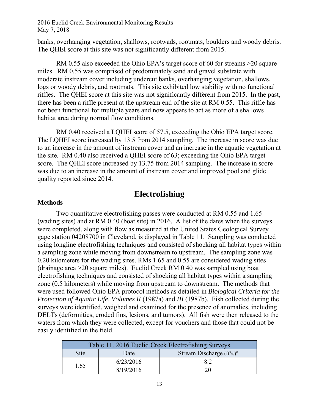banks, overhanging vegetation, shallows, rootwads, rootmats, boulders and woody debris. The QHEI score at this site was not significantly different from 2015.

RM 0.55 also exceeded the Ohio EPA's target score of 60 for streams >20 square miles. RM 0.55 was comprised of predominately sand and gravel substrate with moderate instream cover including undercut banks, overhanging vegetation, shallows, logs or woody debris, and rootmats. This site exhibited low stability with no functional riffles. The QHEI score at this site was not significantly different from 2015. In the past, there has been a riffle present at the upstream end of the site at RM 0.55. This riffle has not been functional for multiple years and now appears to act as more of a shallows habitat area during normal flow conditions.

RM 0.40 received a LOHEI score of 57.5, exceeding the Ohio EPA target score. The LQHEI score increased by 13.5 from 2014 sampling. The increase in score was due to an increase in the amount of instream cover and an increase in the aquatic vegetation at the site. RM 0.40 also received a QHEI score of 63; exceeding the Ohio EPA target score. The QHEI score increased by 13.75 from 2014 sampling. The increase in score was due to an increase in the amount of instream cover and improved pool and glide quality reported since 2014.

## **Electrofishing**

#### **Methods**

Two quantitative electrofishing passes were conducted at RM 0.55 and 1.65 (wading sites) and at RM 0.40 (boat site) in 2016. A list of the dates when the surveys were completed, along with flow as measured at the United States Geological Survey gage station 04208700 in Cleveland, is displayed in Table 11. Sampling was conducted using longline electrofishing techniques and consisted of shocking all habitat types within a sampling zone while moving from downstream to upstream. The sampling zone was 0.20 kilometers for the wading sites. RMs 1.65 and 0.55 are considered wading sites (drainage area >20 square miles). Euclid Creek RM 0.40 was sampled using boat electrofishing techniques and consisted of shocking all habitat types within a sampling zone (0.5 kilometers) while moving from upstream to downstream. The methods that were used followed Ohio EPA protocol methods as detailed in *Biological Criteria for the Protection of Aquatic Life, Volumes II* (1987a) and *III* (1987b). Fish collected during the surveys were identified, weighed and examined for the presence of anomalies, including DELTs (deformities, eroded fins, lesions, and tumors). All fish were then released to the waters from which they were collected, except for vouchers and those that could not be easily identified in the field.

| Table 11. 2016 Euclid Creek Electrofishing Surveys |           |                               |  |  |
|----------------------------------------------------|-----------|-------------------------------|--|--|
| <b>Site</b>                                        | Date      | Stream Discharge $(ft^3/s)^#$ |  |  |
|                                                    | 6/23/2016 | 82                            |  |  |
| 1.65                                               | 8/19/2016 | 20                            |  |  |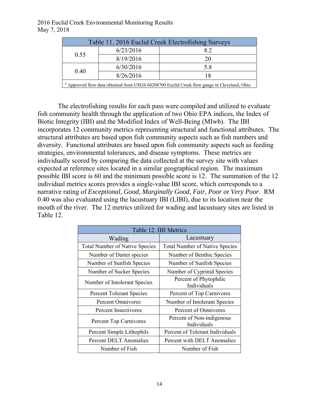| Table 11. 2016 Euclid Creek Electrofishing Surveys                                          |           |    |  |  |
|---------------------------------------------------------------------------------------------|-----------|----|--|--|
| 0.55                                                                                        | 6/23/2016 | 82 |  |  |
|                                                                                             | 8/19/2016 | 20 |  |  |
| 0.40                                                                                        | 6/30/2016 | 58 |  |  |
|                                                                                             | 8/26/2016 | 18 |  |  |
| # Approved flow data obtained from USGS 04208700 Euclid Creek flow gauge in Cleveland, Ohio |           |    |  |  |

 The electrofishing results for each pass were compiled and utilized to evaluate fish community health through the application of two Ohio EPA indices, the Index of Biotic Integrity (IBI) and the Modified Index of Well-Being (MIwb). The IBI incorporates 12 community metrics representing structural and functional attributes. The structural attributes are based upon fish community aspects such as fish numbers and diversity. Functional attributes are based upon fish community aspects such as feeding strategies, environmental tolerances, and disease symptoms. These metrics are individually scored by comparing the data collected at the survey site with values expected at reference sites located in a similar geographical region. The maximum possible IBI score is 60 and the minimum possible score is 12. The summation of the 12 individual metrics scores provides a single-value IBI score, which corresponds to a narrative rating of *Exceptional, Good, Marginally Good, Fair, Poor* or *Very Poor*. RM 0.40 was also evaluated using the lacustuary IBI (LIBI), due to its location near the mouth of the river. The 12 metrics utilized for wading and lacustuary sites are listed in Table 12.

| Table 12. IBI Metrics                 |                                          |  |  |  |  |
|---------------------------------------|------------------------------------------|--|--|--|--|
| Wading                                | Lacustuary                               |  |  |  |  |
| <b>Total Number of Native Species</b> | <b>Total Number of Native Species</b>    |  |  |  |  |
| Number of Darter species              | Number of Benthic Species                |  |  |  |  |
| Number of Sunfish Species             | Number of Sunfish Species                |  |  |  |  |
| Number of Sucker Species              | Number of Cyprinid Species               |  |  |  |  |
| Number of Intolerant Species          | Percent of Phytophilic<br>Individuals    |  |  |  |  |
| <b>Percent Tolerant Species</b>       | Percent of Top Carnivores                |  |  |  |  |
| Percent Omnivores                     | Number of Intolerant Species             |  |  |  |  |
| Percent Insectivores                  | Percent of Omnivores                     |  |  |  |  |
| Percent Top Carnivores                | Percent of Non-indigenous<br>Individuals |  |  |  |  |
| Percent Simple Lithophils             | Percent of Tolerant Individuals          |  |  |  |  |
| <b>Percent DELT Anomalies</b>         | Percent with DELT Anomalies              |  |  |  |  |
| Number of Fish                        | Number of Fish                           |  |  |  |  |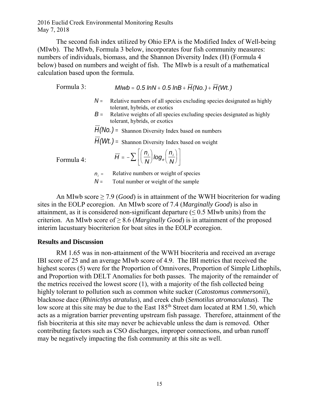The second fish index utilized by Ohio EPA is the Modified Index of Well-being (MIwb). The MIwb, Formula 3 below, incorporates four fish community measures: numbers of individuals, biomass, and the Shannon Diversity Index (H) (Formula 4 below) based on numbers and weight of fish. The MIwb is a result of a mathematical calculation based upon the formula.

Formula 3:  $Mlwb = 0.5 lnN + 0.5 lnB + \overline{H}(No.) + \overline{H}(Wt.)$ 

- $N =$  Relative numbers of all species excluding species designated as highly tolerant, hybrids, or exotics
- $B$  = Relative weights of all species excluding species designated as highly tolerant, hybrids, or exotics

 $\overline{H}(No.)$  = Shannon Diversity Index based on numbers

 $\overline{H}(Wt)$  = Shannon Diversity Index based on weight

Formula 4:

| $\overline{H} = -\sum \left[ \left( \frac{n_i}{N} \right) log_e \left( \frac{n_i}{N} \right) \right]$ |
|-------------------------------------------------------------------------------------------------------|
|-------------------------------------------------------------------------------------------------------|

 $n_i$  = Relative numbers or weight of species

 $N =$  Total number or weight of the sample

An MIwb score ≥ 7.9 (*Good*) is in attainment of the WWH biocriterion for wading sites in the EOLP ecoregion. An MIwb score of 7.4 (*Marginally Good*) is also in attainment, as it is considered non-significant departure ( $\leq 0.5$  MIwb units) from the criterion. An MIwb score of ≥ 8.6 (*Marginally Good*) is in attainment of the proposed interim lacustuary biocriterion for boat sites in the EOLP ecoregion.

### **Results and Discussion**

RM 1.65 was in non-attainment of the WWH biocriteria and received an average IBI score of 25 and an average MIwb score of 4.9. The IBI metrics that received the highest scores (5) were for the Proportion of Omnivores, Proportion of Simple Lithophils, and Proportion with DELT Anomalies for both passes. The majority of the remainder of the metrics received the lowest score (1), with a majority of the fish collected being highly tolerant to pollution such as common white sucker (*Catostomus commersonii*), blacknose dace (*Rhinicthys atratulus*), and creek chub (*Semotilus atromaculatus*). The low score at this site may be due to the East 185<sup>th</sup> Street dam located at RM 1.50, which acts as a migration barrier preventing upstream fish passage. Therefore, attainment of the fish biocriteria at this site may never be achievable unless the dam is removed. Other contributing factors such as CSO discharges, improper connections, and urban runoff may be negatively impacting the fish community at this site as well.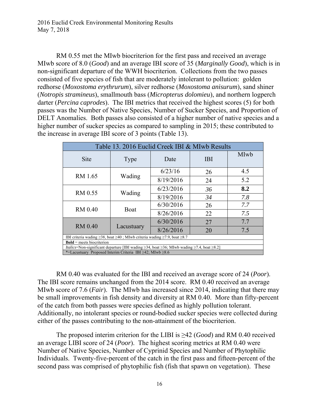RM 0.55 met the MIwb biocriterion for the first pass and received an average MIwb score of 8.0 (*Good*) and an average IBI score of 35 (*Marginally Good*), which is in non-significant departure of the WWH biocriterion. Collections from the two passes consisted of five species of fish that are moderately intolerant to pollution: golden redhorse (*Moxostoma erythrurum*), silver redhorse (*Moxostoma anisurum*), sand shiner (*Notropis stramineus*), smallmouth bass (*Micropterus dolomieu*), and northern logperch darter (*Percina caprodes*). The IBI metrics that received the highest scores (5) for both passes was the Number of Native Species, Number of Sucker Species, and Proportion of DELT Anomalies. Both passes also consisted of a higher number of native species and a higher number of sucker species as compared to sampling in 2015; these contributed to the increase in average IBI score of 3 points (Table 13).

| Table 13. 2016 Euclid Creek IBI & MIwb Results                                                                    |            |           |            |      |  |  |
|-------------------------------------------------------------------------------------------------------------------|------------|-----------|------------|------|--|--|
| Site                                                                                                              | Type       | Date      | <b>IBI</b> | MIwb |  |  |
|                                                                                                                   | Wading     | 6/23/16   | 26         | 4.5  |  |  |
| RM 1.65                                                                                                           |            | 8/19/2016 | 24         | 5.2  |  |  |
| RM 0.55                                                                                                           | Wading     | 6/23/2016 | 36         | 8.2  |  |  |
|                                                                                                                   |            | 8/19/2016 | 34         | 7.8  |  |  |
| <b>RM 0.40</b>                                                                                                    | Boat       | 6/30/2016 | 26         | 7.7  |  |  |
|                                                                                                                   |            | 8/26/2016 | 22         | 7.5  |  |  |
| <b>RM 0.40</b>                                                                                                    | Lacustuary | 6/30/2016 | 27         | 7.7  |  |  |
|                                                                                                                   |            | 8/26/2016 | 20         | 7.5  |  |  |
| IBI criteria wading $\geq$ 38, boat $\geq$ 40; MIwb criteria wading $\geq$ 7.9, boat $\geq$ 8.7                   |            |           |            |      |  |  |
| $Bold = meets biocriterion$                                                                                       |            |           |            |      |  |  |
| Italics=Non-significant departure [IBI wading $\geq$ 34, boat $\geq$ 36; MIwb wading $\geq$ 7.4, boat $\geq$ 8.2] |            |           |            |      |  |  |
| *=Lacustuary Proposed Interim Criteria IBI ≥42; MIwb ≥8.6                                                         |            |           |            |      |  |  |

RM 0.40 was evaluated for the IBI and received an average score of 24 (*Poor*). The IBI score remains unchanged from the 2014 score. RM 0.40 received an average MIwb score of 7.6 (*Fair*). The MIwb has increased since 2014, indicating that there may be small improvements in fish density and diversity at RM 0.40. More than fifty-percent of the catch from both passes were species defined as highly pollution tolerant. Additionally, no intolerant species or round-bodied sucker species were collected during either of the passes contributing to the non-attainment of the biocriterion.

The proposed interim criterion for the LIBI is ≥42 (*Good*) and RM 0.40 received an average LIBI score of 24 (*Poor*). The highest scoring metrics at RM 0.40 were Number of Native Species, Number of Cyprinid Species and Number of Phytophilic Individuals. Twenty-five-percent of the catch in the first pass and fifteen-percent of the second pass was comprised of phytophilic fish (fish that spawn on vegetation). These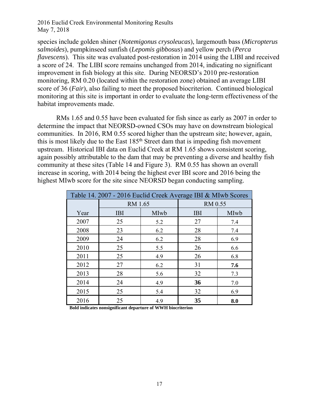species include golden shiner (*Notemigonus crysoleucas*), largemouth bass (*Micropterus salmoides*), pumpkinseed sunfish (*Lepomis gibbosus*) and yellow perch (*Perca flavescens*). This site was evaluated post-restoration in 2014 using the LIBI and received a score of 24. The LIBI score remains unchanged from 2014, indicating no significant improvement in fish biology at this site. During NEORSD's 2010 pre-restoration monitoring, RM 0.20 (located within the restoration zone) obtained an average LIBI score of 36 (*Fair*), also failing to meet the proposed biocriterion. Continued biological monitoring at this site is important in order to evaluate the long-term effectiveness of the habitat improvements made.

RMs 1.65 and 0.55 have been evaluated for fish since as early as 2007 in order to determine the impact that NEORSD-owned CSOs may have on downstream biological communities. In 2016, RM 0.55 scored higher than the upstream site; however, again, this is most likely due to the East 185th Street dam that is impeding fish movement upstream. Historical IBI data on Euclid Creek at RM 1.65 shows consistent scoring, again possibly attributable to the dam that may be preventing a diverse and healthy fish community at these sites (Table 14 and Figure 3). RM 0.55 has shown an overall increase in scoring, with 2014 being the highest ever IBI score and 2016 being the highest MIwb score for the site since NEORSD began conducting sampling.

| Table 14. 2007 - 2016 Euclid Creek Average IBI & MIwb Scores |            |      |            |      |  |
|--------------------------------------------------------------|------------|------|------------|------|--|
|                                                              | RM 1.65    |      | RM 0.55    |      |  |
| Year                                                         | <b>IBI</b> | MIwb | <b>IBI</b> | MIwb |  |
| 2007                                                         | 25         | 5.2  | 27         | 7.4  |  |
| 2008                                                         | 23         | 6.2  | 28         | 7.4  |  |
| 2009                                                         | 24         | 6.2  | 28         | 6.9  |  |
| 2010                                                         | 25         | 5.5  | 26         | 6.6  |  |
| 2011                                                         | 25         | 4.9  | 26         | 6.8  |  |
| 2012                                                         | 27         | 6.2  | 31         | 7.6  |  |
| 2013                                                         | 28         | 5.6  | 32         | 7.3  |  |
| 2014                                                         | 24         | 4.9  | 36         | 7.0  |  |
| 2015                                                         | 25         | 5.4  | 32         | 6.9  |  |
| 2016                                                         | 25         | 4.9  | 35         | 8.0  |  |

**Bold indicates nonsignificant departure of WWH biocriterion**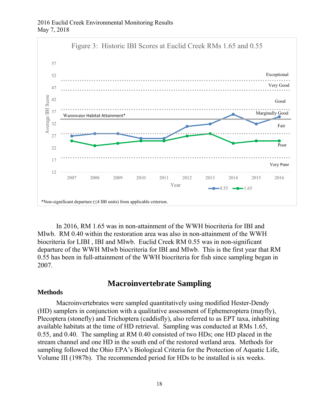

In 2016, RM 1.65 was in non-attainment of the WWH biocriteria for IBI and MIwb. RM 0.40 within the restoration area was also in non-attainment of the WWH biocriteria for LIBI , IBI and MIwb. Euclid Creek RM 0.55 was in non-significant departure of the WWH MIwb biocriteria for IBI and MIwb. This is the first year that RM 0.55 has been in full-attainment of the WWH biocriteria for fish since sampling began in 2007.

## **Macroinvertebrate Sampling**

#### **Methods**

Macroinvertebrates were sampled quantitatively using modified Hester-Dendy (HD) samplers in conjunction with a qualitative assessment of Ephemeroptera (mayfly), Plecoptera (stonefly) and Trichoptera (caddisfly), also referred to as EPT taxa, inhabiting available habitats at the time of HD retrieval. Sampling was conducted at RMs 1.65, 0.55, and 0.40. The sampling at RM 0.40 consisted of two HDs; one HD placed in the stream channel and one HD in the south end of the restored wetland area. Methods for sampling followed the Ohio EPA's Biological Criteria for the Protection of Aquatic Life, Volume III (1987b). The recommended period for HDs to be installed is six weeks.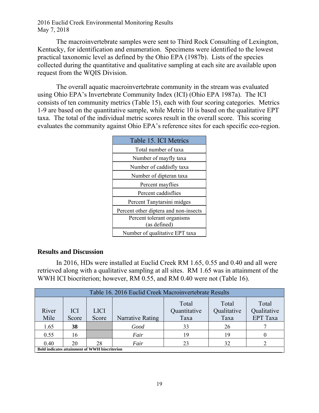The macroinvertebrate samples were sent to Third Rock Consulting of Lexington, Kentucky, for identification and enumeration. Specimens were identified to the lowest practical taxonomic level as defined by the Ohio EPA (1987b). Lists of the species collected during the quantitative and qualitative sampling at each site are available upon request from the WQIS Division.

The overall aquatic macroinvertebrate community in the stream was evaluated using Ohio EPA's Invertebrate Community Index (ICI) (Ohio EPA 1987a). The ICI consists of ten community metrics (Table 15), each with four scoring categories. Metrics 1-9 are based on the quantitative sample, while Metric 10 is based on the qualitative EPT taxa. The total of the individual metric scores result in the overall score. This scoring evaluates the community against Ohio EPA's reference sites for each specific eco-region.

| Table 15. ICI Metrics                 |  |  |  |  |
|---------------------------------------|--|--|--|--|
| Total number of taxa                  |  |  |  |  |
| Number of mayfly taxa                 |  |  |  |  |
| Number of caddisfly taxa              |  |  |  |  |
| Number of dipteran taxa               |  |  |  |  |
| Percent mayflies                      |  |  |  |  |
| Percent caddisflies                   |  |  |  |  |
| Percent Tanytarsini midges            |  |  |  |  |
| Percent other diptera and non-insects |  |  |  |  |
| Percent tolerant organisms            |  |  |  |  |
| (as defined)                          |  |  |  |  |
| Number of qualitative EPT taxa        |  |  |  |  |

### **Results and Discussion**

In 2016, HDs were installed at Euclid Creek RM 1.65, 0.55 and 0.40 and all were retrieved along with a qualitative sampling at all sites. RM 1.65 was in attainment of the WWH ICI biocriterion; however, RM 0.55, and RM 0.40 were not (Table 16).

| Table 16, 2016 Euclid Creek Macroinvertebrate Results |                     |                      |                                                                                                                              |    |    |  |  |  |  |
|-------------------------------------------------------|---------------------|----------------------|------------------------------------------------------------------------------------------------------------------------------|----|----|--|--|--|--|
| River<br>Mile                                         | <b>ICI</b><br>Score | <b>LICI</b><br>Score | Total<br>Total<br>Total<br>Qualitative<br>Quantitative<br>Qualitative<br><b>EPT</b> Taxa<br>Taxa<br>Narrative Rating<br>Taxa |    |    |  |  |  |  |
| 1.65                                                  | 38                  |                      | Good                                                                                                                         | 33 | 26 |  |  |  |  |
| 0.55                                                  | 16                  |                      | Fair                                                                                                                         | 19 | 19 |  |  |  |  |
| 0.40                                                  | 20                  | 28                   | Fair                                                                                                                         | 23 | 32 |  |  |  |  |
| <b>Bold indicates attainment of WWH biocriterion</b>  |                     |                      |                                                                                                                              |    |    |  |  |  |  |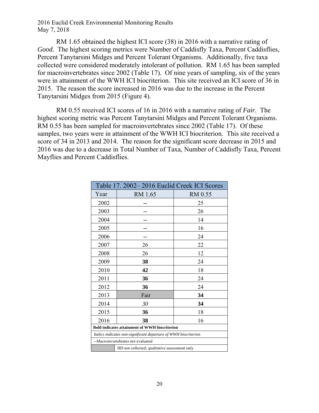RM 1.65 obtained the highest ICI score (38) in 2016 with a narrative rating of *Good.* The highest scoring metrics were Number of Caddisfly Taxa, Percent Caddisflies, Percent Tanytarsini Midges and Percent Tolerant Organisms. Additionally, five taxa collected were considered moderately intolerant of pollution. RM 1.65 has been sampled for macroinvertebrates since 2002 (Table 17). Of nine years of sampling, six of the years were in attainment of the WWH ICI biocriterion. This site received an ICI score of 36 in 2015. The reason the score increased in 2016 was due to the increase in the Percent Tanytarsini Midges from 2015 (Figure 4).

 RM 0.55 received ICI scores of 16 in 2016 with a narrative rating of *Fair.* The highest scoring metric was Percent Tanytarsini Midges and Percent Tolerant Organisms. RM 0.55 has been sampled for macroinvertebrates since 2002 (Table 17). Of these samples, two years were in attainment of the WWH ICI biocriterion. This site received a score of 34 in 2013 and 2014. The reason for the significant score decrease in 2015 and 2016 was due to a decrease in Total Number of Taxa, Number of Caddisfly Taxa, Percent Mayflies and Percent Caddisflies.

| Table 17. 2002-2016 Euclid Creek ICI Scores                     |                                               |         |  |  |  |
|-----------------------------------------------------------------|-----------------------------------------------|---------|--|--|--|
| Year                                                            | RM 1.65                                       | RM 0.55 |  |  |  |
| 2002                                                            |                                               | 25      |  |  |  |
| 2003                                                            |                                               | 26      |  |  |  |
| 2004                                                            |                                               | 14      |  |  |  |
| 2005                                                            |                                               | 16      |  |  |  |
| 2006                                                            |                                               | 24      |  |  |  |
| 2007                                                            | 26                                            | 22      |  |  |  |
| 2008                                                            | 26                                            | 12      |  |  |  |
| 2009                                                            | 38                                            | 24      |  |  |  |
| 2010                                                            | 42<br>18                                      |         |  |  |  |
| 2011                                                            | 36<br>24                                      |         |  |  |  |
| 2012                                                            | 36                                            | 24      |  |  |  |
| 2013                                                            | Fair                                          | 34      |  |  |  |
| 2014                                                            | 30                                            | 34      |  |  |  |
| 2015                                                            | 36                                            | 18      |  |  |  |
| 2016                                                            | 38                                            | 16      |  |  |  |
| Bold indicates attainment of WWH biocriterion                   |                                               |         |  |  |  |
| Italics indicates non-significant departure of WWH biocriterion |                                               |         |  |  |  |
| --Macroinvertebrates not evaluated                              |                                               |         |  |  |  |
|                                                                 | HD not collected; qualitative assessment only |         |  |  |  |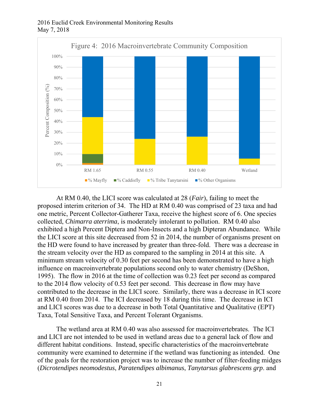

At RM 0.40, the LICI score was calculated at 28 (*Fair*), failing to meet the proposed interim criterion of 34. The HD at RM 0.40 was comprised of 23 taxa and had one metric, Percent Collector-Gatherer Taxa, receive the highest score of 6. One species collected, *Chimarra aterrima*, is moderately intolerant to pollution. RM 0.40 also exhibited a high Percent Diptera and Non-Insects and a high Dipteran Abundance. While the LICI score at this site decreased from 52 in 2014, the number of organisms present on the HD were found to have increased by greater than three-fold. There was a decrease in the stream velocity over the HD as compared to the sampling in 2014 at this site. A minimum stream velocity of 0.30 feet per second has been demonstrated to have a high influence on macroinvertebrate populations second only to water chemistry (DeShon, 1995). The flow in 2016 at the time of collection was 0.23 feet per second as compared to the 2014 flow velocity of 0.53 feet per second. This decrease in flow may have contributed to the decrease in the LICI score. Similarly, there was a decrease in ICI score at RM 0.40 from 2014. The ICI decreased by 18 during this time. The decrease in ICI and LICI scores was due to a decrease in both Total Quantitative and Qualitative (EPT) Taxa, Total Sensitive Taxa, and Percent Tolerant Organisms.

 The wetland area at RM 0.40 was also assessed for macroinvertebrates. The ICI and LICI are not intended to be used in wetland areas due to a general lack of flow and different habitat conditions. Instead, specific characteristics of the macroinvertebrate community were examined to determine if the wetland was functioning as intended. One of the goals for the restoration project was to increase the number of filter-feeding midges (*Dicrotendipes neomodestus*, *Paratendipes albimanus*, *Tanytarsus glabrescens grp*. and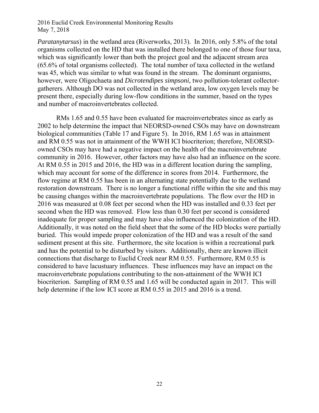*Paratanytarsus*) in the wetland area (Riverworks, 2013). In 2016, only 5.8% of the total organisms collected on the HD that was installed there belonged to one of those four taxa, which was significantly lower than both the project goal and the adjacent stream area (65.6% of total organisms collected). The total number of taxa collected in the wetland was 45, which was similar to what was found in the stream. The dominant organisms, however, were Oligochaeta and *Dicrotendipes simpsoni*, two pollution-tolerant collectorgatherers. Although DO was not collected in the wetland area, low oxygen levels may be present there, especially during low-flow conditions in the summer, based on the types and number of macroinvertebrates collected.

RMs 1.65 and 0.55 have been evaluated for macroinvertebrates since as early as 2002 to help determine the impact that NEORSD-owned CSOs may have on downstream biological communities (Table 17 and Figure 5). In 2016, RM 1.65 was in attainment and RM 0.55 was not in attainment of the WWH ICI biocriterion; therefore, NEORSDowned CSOs may have had a negative impact on the health of the macroinvertebrate community in 2016. However, other factors may have also had an influence on the score. At RM 0.55 in 2015 and 2016, the HD was in a different location during the sampling, which may account for some of the difference in scores from 2014. Furthermore, the flow regime at RM 0.55 has been in an alternating state potentially due to the wetland restoration downstream. There is no longer a functional riffle within the site and this may be causing changes within the macroinvertebrate populations. The flow over the HD in 2016 was measured at 0.08 feet per second when the HD was installed and 0.33 feet per second when the HD was removed. Flow less than 0.30 feet per second is considered inadequate for proper sampling and may have also influenced the colonization of the HD. Additionally, it was noted on the field sheet that the some of the HD blocks were partially buried. This would impede proper colonization of the HD and was a result of the sand sediment present at this site. Furthermore, the site location is within a recreational park and has the potential to be disturbed by visitors. Additionally, there are known illicit connections that discharge to Euclid Creek near RM 0.55. Furthermore, RM 0.55 is considered to have lacustuary influences. These influences may have an impact on the macroinvertebrate populations contributing to the non-attainment of the WWH ICI biocriterion. Sampling of RM 0.55 and 1.65 will be conducted again in 2017. This will help determine if the low ICI score at RM 0.55 in 2015 and 2016 is a trend.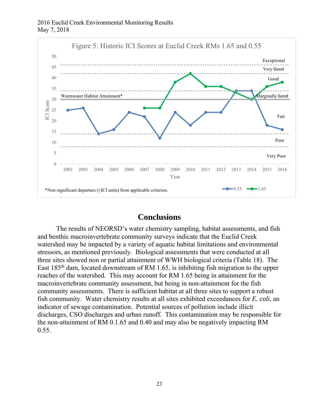

## **Conclusions**

The results of NEORSD's water chemistry sampling, habitat assessments, and fish and benthic macroinvertebrate community surveys indicate that the Euclid Creek watershed may be impacted by a variety of aquatic habitat limitations and environmental stressors, as mentioned previously. Biological assessments that were conducted at all three sites showed non or partial attainment of WWH biological criteria (Table 18). The East 185th dam, located downstream of RM 1.65, is inhibiting fish migration to the upper reaches of the watershed. This may account for RM 1.65 being in attainment for the macroinvertebrate community assessment, but being in non-attainment for the fish community assessments. There is sufficient habitat at all three sites to support a robust fish community. Water chemistry results at all sites exhibited exceedances for *E. coli*, an indicator of sewage contamination. Potential sources of pollution include illicit discharges, CSO discharges and urban runoff. This contamination may be responsible for the non-attainment of RM 0.1.65 and 0.40 and may also be negatively impacting RM 0.55.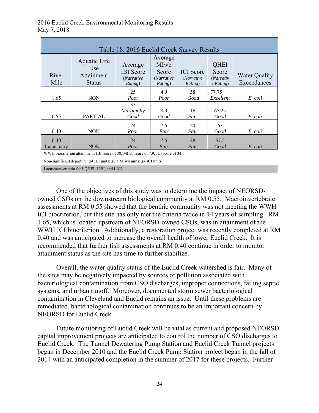| Table 18. 2016 Euclid Creek Survey Results                                               |                                                    |                                                      |                                                          |                                           |                                                  |                                     |  |
|------------------------------------------------------------------------------------------|----------------------------------------------------|------------------------------------------------------|----------------------------------------------------------|-------------------------------------------|--------------------------------------------------|-------------------------------------|--|
| River<br>Mile                                                                            | Aquatic Life<br>Use<br>Attainment<br><b>Status</b> | Average<br><b>IBI</b> Score<br>(Narrative<br>Rating) | Average<br><b>MIwb</b><br>Score<br>(Narrative<br>Rating) | <b>ICI</b> Score<br>(Narrative<br>Rating) | <b>QHEI</b><br>Score<br>(Narrativ<br>$e$ Rating) | <b>Water Quality</b><br>Exceedances |  |
| 1.65                                                                                     | <b>NON</b>                                         | 25<br>Poor                                           | 4.9<br>Poor                                              | 38<br>Good                                | 77.75<br>Excellent                               | E. coli                             |  |
| 0.55                                                                                     | <b>PARTIAL</b>                                     | 35<br>Marginally<br>Good                             | 8.0<br>Good                                              | 16<br>Fair                                | 65.25<br>Good                                    | E. coli                             |  |
| 0.40                                                                                     | <b>NON</b>                                         | 24<br>Poor                                           | 7.6<br>Fair                                              | 20<br>Fair                                | 63<br>Good                                       | E. coli                             |  |
| 0.40<br>Lacustuary                                                                       | <b>NON</b>                                         | 24<br>Poor                                           | 7.6<br>Fair                                              | 28<br>Fair                                | 57.5<br>Good                                     | E. coli                             |  |
| WWH biocriterion attainment: IBI score of 38; MIwb score of 7.9; ICI score of 34         |                                                    |                                                      |                                                          |                                           |                                                  |                                     |  |
| Non-significant departure: $\leq$ 4 IBI units; $\leq$ 0.5 MIwb units; $\leq$ 4 ICI units |                                                    |                                                      |                                                          |                                           |                                                  |                                     |  |
| Lacustuary criteria for LOHEI, LIBI, and LICI                                            |                                                    |                                                      |                                                          |                                           |                                                  |                                     |  |

One of the objectives of this study was to determine the impact of NEORSDowned CSOs on the downstream biological community at RM 0.55. Macroinvertebrate assessments at RM 0.55 showed that the benthic community was not meeting the WWH ICI biocriterion, but this site has only met the criteria twice in 14 years of sampling. RM 1.65, which is located upstream of NEORSD-owned CSOs, was in attainment of the WWH ICI biocriterion. Additionally, a restoration project was recently completed at RM 0.40 and was anticipated to increase the overall health of lower Euclid Creek. It is recommended that further fish assessments at RM 0.40 continue in order to monitor attainment status as the site has time to further stabilize.

Overall, the water quality status of the Euclid Creek watershed is fair. Many of the sites may be negatively impacted by sources of pollution associated with bacteriological contamination from CSO discharges, improper connections, failing septic systems, and urban runoff. Moreover, documented storm sewer bacteriological contamination in Cleveland and Euclid remains an issue. Until these problems are remediated, bacteriological contamination continues to be an important concern by NEORSD for Euclid Creek.

Future monitoring of Euclid Creek will be vital as current and proposed NEORSD capital improvement projects are anticipated to control the number of CSO discharges to Euclid Creek. The Tunnel Dewatering Pump Station and Euclid Creek Tunnel projects began in December 2010 and the Euclid Creek Pump Station project began in the fall of 2014 with an anticipated completion in the summer of 2017 for these projects. Further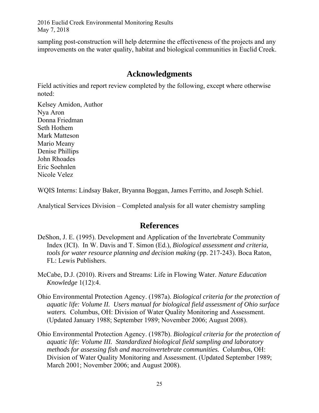sampling post-construction will help determine the effectiveness of the projects and any improvements on the water quality, habitat and biological communities in Euclid Creek.

# **Acknowledgments**

Field activities and report review completed by the following, except where otherwise noted:

Kelsey Amidon, Author Nya Aron Donna Friedman Seth Hothem Mark Matteson Mario Meany Denise Phillips John Rhoades Eric Soehnlen Nicole Velez

WQIS Interns: Lindsay Baker, Bryanna Boggan, James Ferritto, and Joseph Schiel.

Analytical Services Division – Completed analysis for all water chemistry sampling

## **References**

- DeShon, J. E. (1995). Development and Application of the Invertebrate Community Index (ICI). In W. Davis and T. Simon (Ed.), *Biological assessment and criteria, tools for water resource planning and decision making* (pp. 217-243). Boca Raton, FL: Lewis Publishers.
- McCabe, D.J. (2010). Rivers and Streams: Life in Flowing Water. *Nature Education Knowledge* 1(12):4.
- Ohio Environmental Protection Agency. (1987a). *Biological criteria for the protection of aquatic life: Volume II. Users manual for biological field assessment of Ohio surface waters.* Columbus, OH: Division of Water Quality Monitoring and Assessment. (Updated January 1988; September 1989; November 2006; August 2008).
- Ohio Environmental Protection Agency. (1987b). *Biological criteria for the protection of aquatic life: Volume III. Standardized biological field sampling and laboratory methods for assessing fish and macroinvertebrate communities.* Columbus, OH: Division of Water Quality Monitoring and Assessment. (Updated September 1989; March 2001; November 2006; and August 2008).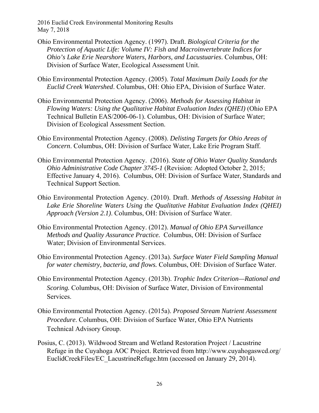- Ohio Environmental Protection Agency. (1997). Draft. *Biological Criteria for the Protection of Aquatic Life: Volume IV: Fish and Macroinvertebrate Indices for Ohio's Lake Erie Nearshore Waters, Harbors, and Lacustuaries*. Columbus, OH: Division of Surface Water, Ecological Assessment Unit.
- Ohio Environmental Protection Agency. (2005). *Total Maximum Daily Loads for the Euclid Creek Watershed*. Columbus, OH: Ohio EPA, Division of Surface Water.
- Ohio Environmental Protection Agency. (2006). *Methods for Assessing Habitat in Flowing Waters: Using the Qualitative Habitat Evaluation Index (QHEI)* (Ohio EPA Technical Bulletin EAS/2006-06-1). Columbus, OH: Division of Surface Water; Division of Ecological Assessment Section.
- Ohio Environmental Protection Agency. (2008). *Delisting Targets for Ohio Areas of Concern*. Columbus, OH: Division of Surface Water, Lake Erie Program Staff.
- Ohio Environmental Protection Agency. (2016). *State of Ohio Water Quality Standards Ohio Administrative Code Chapter 3745-1* (Revision: Adopted October 2, 2015; Effective January 4, 2016). Columbus, OH: Division of Surface Water, Standards and Technical Support Section.
- Ohio Environmental Protection Agency. (2010). Draft. *Methods of Assessing Habitat in Lake Erie Shoreline Waters Using the Qualitative Habitat Evaluation Index (QHEI) Approach (Version 2.1)*. Columbus, OH: Division of Surface Water.
- Ohio Environmental Protection Agency. (2012). *Manual of Ohio EPA Surveillance Methods and Quality Assurance Practice.* Columbus, OH: Division of Surface Water; Division of Environmental Services.
- Ohio Environmental Protection Agency. (2013a). *Surface Water Field Sampling Manual for water chemistry, bacteria, and flows.* Columbus, OH: Division of Surface Water.
- Ohio Environmental Protection Agency. (2013b). *Trophic Index Criterion—Rational and Scoring.* Columbus, OH: Division of Surface Water, Division of Environmental Services.
- Ohio Environmental Protection Agency. (2015a). *Proposed Stream Nutrient Assessment Procedure*. Columbus, OH: Division of Surface Water, Ohio EPA Nutrients Technical Advisory Group.
- Posius, C. (2013). Wildwood Stream and Wetland Restoration Project / Lacustrine Refuge in the Cuyahoga AOC Project. Retrieved from http://www.cuyahogaswcd.org/ EuclidCreekFiles/EC\_LacustrineRefuge.htm (accessed on January 29, 2014).